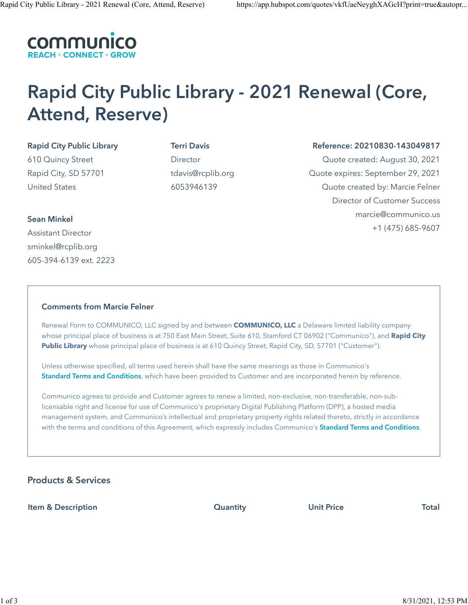

# Rapid City Public Library - 2021 Renewal (Core, Attend, Reserve)

Rapid City Public Library 610 Quincy Street Rapid City, SD 57701 United States

Terri Davis Director tdavis@rcplib.org 6053946139

Reference: 20210830-143049817 Quote created: August 30, 2021 Quote expires: September 29, 2021 Quote created by: Marcie Felner Director of Customer Success marcie@communico.us +1 (475) 685-9607

## Sean Minkel

Assistant Director sminkel@rcplib.org 605-394-6139 ext. 2223

## Comments from Marcie Felner

Renewal Form to COMMUNICO, LLC signed by and between **COMMUNICO, LLC** a Delaware limited liability company whose principal place of business is at 750 East Main Street, Suite 610, Stamford CT 06902 ("Communico"), and **Rapid City Public Library** whose principal place of business is at 610 Quincy Street, Rapid City, SD, 57701 ("Customer").

Unless otherwise specified, all terms used herein shall have the same meanings as those in Communico's [Standard Terms and Conditions](http://www.communico.co/legal), which have been provided to Customer and are incorporated herein by reference.

Communico agrees to provide and Customer agrees to renew a limited, non-exclusive, non-transferable, non-sublicensable right and license for use of Communico's proprietary Digital Publishing Platform (DPP), a hosted media management system, and Communico's intellectual and proprietary property rights related thereto, strictly in accordance with the terms and conditions of this Agreement, which expressly includes Communico's [Standard Terms and Conditions](http://www.communico.co/legal).

# Products & Services

Item & Description Quantity Unit Price Total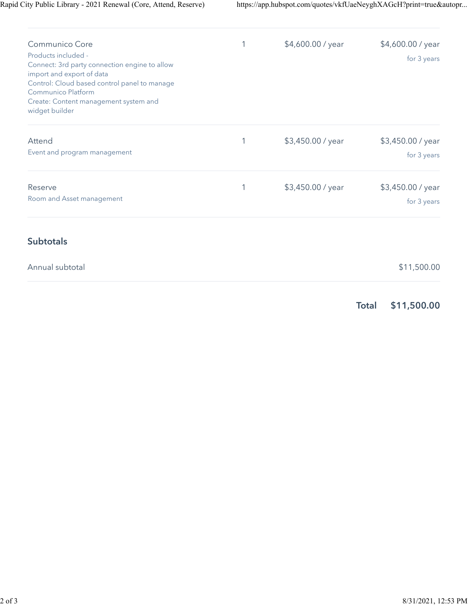| Communico Core<br>Products included -<br>Connect: 3rd party connection engine to allow<br>import and export of data<br>Control: Cloud based control panel to manage<br>Communico Platform<br>Create: Content management system and<br>widget builder |   | \$4,600.00 / year | \$4,600.00 / year<br>for 3 years |
|------------------------------------------------------------------------------------------------------------------------------------------------------------------------------------------------------------------------------------------------------|---|-------------------|----------------------------------|
| Attend<br>Event and program management                                                                                                                                                                                                               | 1 | \$3,450.00 / year | \$3,450.00 / year<br>for 3 years |
| Reserve<br>Room and Asset management                                                                                                                                                                                                                 | 1 | \$3,450.00 / year | \$3,450.00 / year<br>for 3 years |
| <b>Subtotals</b>                                                                                                                                                                                                                                     |   |                   |                                  |
| Annual subtotal                                                                                                                                                                                                                                      |   |                   | \$11,500.00                      |
|                                                                                                                                                                                                                                                      |   |                   |                                  |

Total \$11,500.00